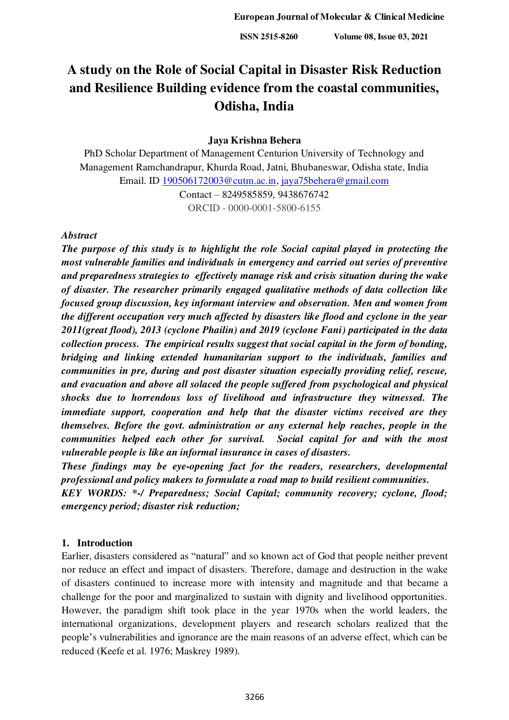# **A study on the Role of Social Capital in Disaster Risk Reduction and Resilience Building evidence from the coastal communities, Odisha, India**

### **Jaya Krishna Behera**

PhD Scholar Department of Management Centurion University of Technology and Management Ramchandrapur, Khurda Road, Jatni, Bhubaneswar, Odisha state, India Email. ID [190506172003@cutm.ac.in,](mailto:190506172003@cutm.ac.in) [jaya75behera@gmail.com](mailto:jaya75behera@gmail.com)

Contact – 8249585859, 9438676742 ORCID - 0000-0001-5800-6155

#### *Abstract*

*The purpose of this study is to highlight the role Social capital played in protecting the most vulnerable families and individuals in emergency and carried out series of preventive and preparedness strategies to effectively manage risk and crisis situation during the wake of disaster. The researcher primarily engaged qualitative methods of data collection like focused group discussion, key informant interview and observation. Men and women from the different occupation very much affected by disasters like flood and cyclone in the year 2011(great flood), 2013 (cyclone Phailin) and 2019 (cyclone Fani) participated in the data collection process. The empirical results suggest that social capital in the form of bonding, bridging and linking extended humanitarian support to the individuals, families and communities in pre, during and post disaster situation especially providing relief, rescue, and evacuation and above all solaced the people suffered from psychological and physical shocks due to horrendous loss of livelihood and infrastructure they witnessed. The immediate support, cooperation and help that the disaster victims received are they themselves. Before the govt. administration or any external help reaches, people in the communities helped each other for survival. Social capital for and with the most vulnerable people is like an informal insurance in cases of disasters.* 

*These findings may be eye-opening fact for the readers, researchers, developmental professional and policy makers to formulate a road map to build resilient communities.* 

*KEY WORDS: \*-/ Preparedness; Social Capital; community recovery; cyclone, flood; emergency period; disaster risk reduction;* 

#### **1. Introduction**

Earlier, disasters considered as "natural" and so known act of God that people neither prevent nor reduce an effect and impact of disasters. Therefore, damage and destruction in the wake of disasters continued to increase more with intensity and magnitude and that became a challenge for the poor and marginalized to sustain with dignity and livelihood opportunities. However, the paradigm shift took place in the year 1970s when the world leaders, the international organizations, development players and research scholars realized that the people's vulnerabilities and ignorance are the main reasons of an adverse effect, which can be reduced (Keefe et al. 1976; Maskrey 1989).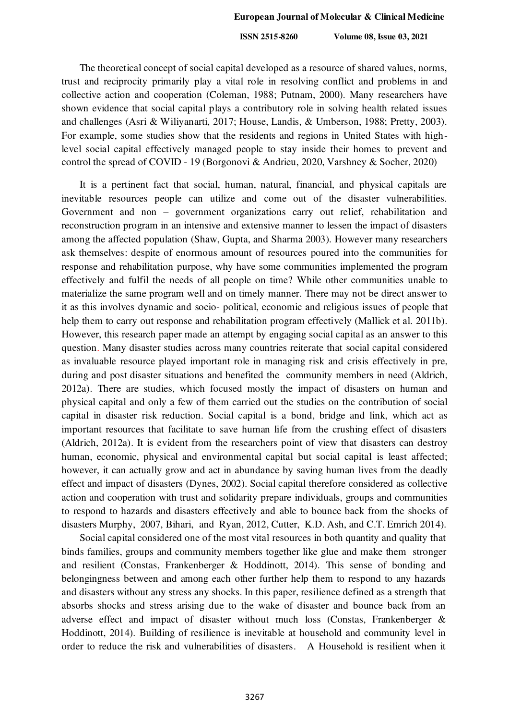The theoretical concept of social capital developed as a resource of shared values, norms, trust and reciprocity primarily play a vital role in resolving conflict and problems in and collective action and cooperation (Coleman, 1988; Putnam, 2000). Many researchers have shown evidence that social capital plays a contributory role in solving health related issues and challenges (Asri & Wiliyanarti, 2017; House, Landis, & Umberson, 1988; Pretty, 2003). For example, some studies show that the residents and regions in United States with highlevel social capital effectively managed people to stay inside their homes to prevent and control the spread of COVID - 19 (Borgonovi & Andrieu, 2020, Varshney & Socher, 2020)

It is a pertinent fact that social, human, natural, financial, and physical capitals are inevitable resources people can utilize and come out of the disaster vulnerabilities. Government and non – government organizations carry out relief, rehabilitation and reconstruction program in an intensive and extensive manner to lessen the impact of disasters among the affected population (Shaw, Gupta, and Sharma 2003). However many researchers ask themselves: despite of enormous amount of resources poured into the communities for response and rehabilitation purpose, why have some communities implemented the program effectively and fulfil the needs of all people on time? While other communities unable to materialize the same program well and on timely manner. There may not be direct answer to it as this involves dynamic and socio- political, economic and religious issues of people that help them to carry out response and rehabilitation program effectively (Mallick et al. 2011b). However, this research paper made an attempt by engaging social capital as an answer to this question. Many disaster studies across many countries reiterate that social capital considered as invaluable resource played important role in managing risk and crisis effectively in pre, during and post disaster situations and benefited the community members in need (Aldrich, 2012a). There are studies, which focused mostly the impact of disasters on human and physical capital and only a few of them carried out the studies on the contribution of social capital in disaster risk reduction. Social capital is a bond, bridge and link, which act as important resources that facilitate to save human life from the crushing effect of disasters (Aldrich, 2012a). It is evident from the researchers point of view that disasters can destroy human, economic, physical and environmental capital but social capital is least affected; however, it can actually grow and act in abundance by saving human lives from the deadly effect and impact of disasters (Dynes, 2002). Social capital therefore considered as collective action and cooperation with trust and solidarity prepare individuals, groups and communities to respond to hazards and disasters effectively and able to bounce back from the shocks of disasters Murphy, 2007, Bihari, and Ryan, 2012, Cutter, K.D. Ash, and C.T. Emrich 2014).

Social capital considered one of the most vital resources in both quantity and quality that binds families, groups and community members together like glue and make them stronger and resilient (Constas, Frankenberger & Hoddinott, 2014). This sense of bonding and belongingness between and among each other further help them to respond to any hazards and disasters without any stress any shocks. In this paper, resilience defined as a strength that absorbs shocks and stress arising due to the wake of disaster and bounce back from an adverse effect and impact of disaster without much loss (Constas, Frankenberger & Hoddinott, 2014). Building of resilience is inevitable at household and community level in order to reduce the risk and vulnerabilities of disasters. A Household is resilient when it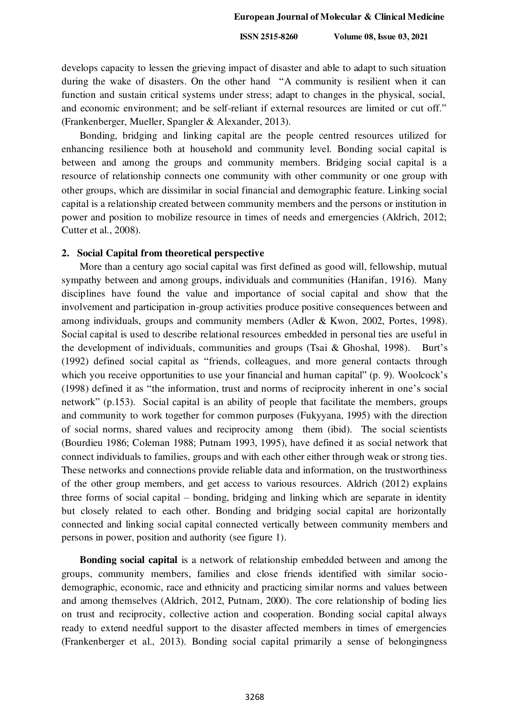develops capacity to lessen the grieving impact of disaster and able to adapt to such situation during the wake of disasters. On the other hand "A community is resilient when it can function and sustain critical systems under stress; adapt to changes in the physical, social, and economic environment; and be self-reliant if external resources are limited or cut off." (Frankenberger, Mueller, Spangler & Alexander, 2013).

Bonding, bridging and linking capital are the people centred resources utilized for enhancing resilience both at household and community level. Bonding social capital is between and among the groups and community members. Bridging social capital is a resource of relationship connects one community with other community or one group with other groups, which are dissimilar in social financial and demographic feature. Linking social capital is a relationship created between community members and the persons or institution in power and position to mobilize resource in times of needs and emergencies (Aldrich, 2012; Cutter et al., 2008).

#### **2. Social Capital from theoretical perspective**

More than a century ago social capital was first defined as good will, fellowship, mutual sympathy between and among groups, individuals and communities (Hanifan, 1916). Many disciplines have found the value and importance of social capital and show that the involvement and participation in-group activities produce positive consequences between and among individuals, groups and community members (Adler & Kwon, 2002, Portes, 1998). Social capital is used to describe relational resources embedded in personal ties are useful in the development of individuals, communities and groups (Tsai & Ghoshal, 1998). Burt's (1992) defined social capital as "friends, colleagues, and more general contacts through which you receive opportunities to use your financial and human capital" (p. 9). Woolcock's (1998) defined it as "the information, trust and norms of reciprocity inherent in one's social network" (p.153). Social capital is an ability of people that facilitate the members, groups and community to work together for common purposes (Fukyyana, 1995) with the direction of social norms, shared values and reciprocity among them (ibid). The social scientists (Bourdieu 1986; Coleman 1988; Putnam 1993, 1995), have defined it as social network that connect individuals to families, groups and with each other either through weak or strong ties. These networks and connections provide reliable data and information, on the trustworthiness of the other group members, and get access to various resources. Aldrich (2012) explains three forms of social capital – bonding, bridging and linking which are separate in identity but closely related to each other. Bonding and bridging social capital are horizontally connected and linking social capital connected vertically between community members and persons in power, position and authority (see figure 1).

**Bonding social capital** is a network of relationship embedded between and among the groups, community members, families and close friends identified with similar sociodemographic, economic, race and ethnicity and practicing similar norms and values between and among themselves (Aldrich, 2012, Putnam, 2000). The core relationship of boding lies on trust and reciprocity, collective action and cooperation. Bonding social capital always ready to extend needful support to the disaster affected members in times of emergencies (Frankenberger et al., 2013). Bonding social capital primarily a sense of belongingness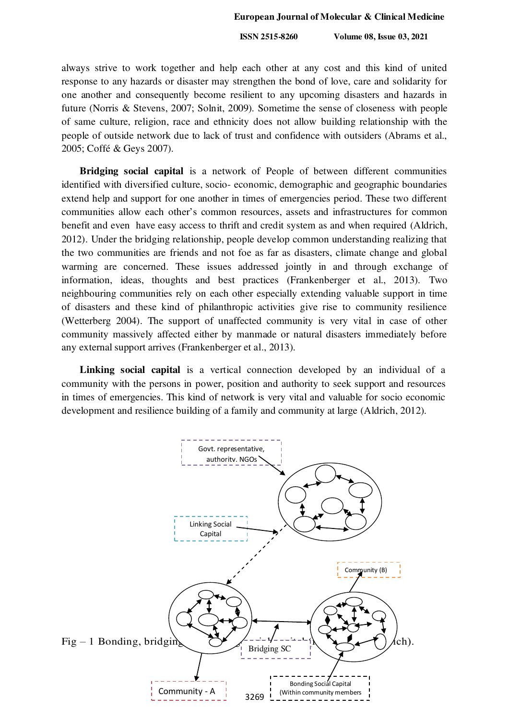always strive to work together and help each other at any cost and this kind of united response to any hazards or disaster may strengthen the bond of love, care and solidarity for one another and consequently become resilient to any upcoming disasters and hazards in future (Norris & Stevens, 2007; Solnit, 2009). Sometime the sense of closeness with people of same culture, religion, race and ethnicity does not allow building relationship with the people of outside network due to lack of trust and confidence with outsiders (Abrams et al., 2005; Coffé & Geys 2007).

**Bridging social capital** is a network of People of between different communities identified with diversified culture, socio- economic, demographic and geographic boundaries extend help and support for one another in times of emergencies period. These two different communities allow each other's common resources, assets and infrastructures for common benefit and even have easy access to thrift and credit system as and when required (Aldrich, 2012). Under the bridging relationship, people develop common understanding realizing that the two communities are friends and not foe as far as disasters, climate change and global warming are concerned. These issues addressed jointly in and through exchange of information, ideas, thoughts and best practices (Frankenberger et al., 2013). Two neighbouring communities rely on each other especially extending valuable support in time of disasters and these kind of philanthropic activities give rise to community resilience (Wetterberg 2004). The support of unaffected community is very vital in case of other community massively affected either by manmade or natural disasters immediately before any external support arrives (Frankenberger et al., 2013).

**Linking social capital** is a vertical connection developed by an individual of a community with the persons in power, position and authority to seek support and resources in times of emergencies. This kind of network is very vital and valuable for socio economic development and resilience building of a family and community at large (Aldrich, 2012).

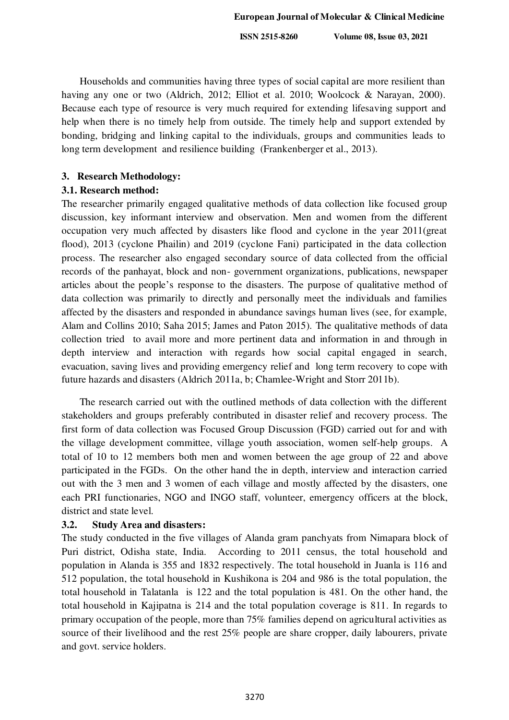Households and communities having three types of social capital are more resilient than having any one or two (Aldrich, 2012; Elliot et al. 2010; Woolcock & Narayan, 2000). Because each type of resource is very much required for extending lifesaving support and help when there is no timely help from outside. The timely help and support extended by bonding, bridging and linking capital to the individuals, groups and communities leads to long term development and resilience building (Frankenberger et al., 2013).

## **3. Research Methodology:**

## **3.1. Research method:**

The researcher primarily engaged qualitative methods of data collection like focused group discussion, key informant interview and observation. Men and women from the different occupation very much affected by disasters like flood and cyclone in the year 2011(great flood), 2013 (cyclone Phailin) and 2019 (cyclone Fani) participated in the data collection process. The researcher also engaged secondary source of data collected from the official records of the panhayat, block and non- government organizations, publications, newspaper articles about the people's response to the disasters. The purpose of qualitative method of data collection was primarily to directly and personally meet the individuals and families affected by the disasters and responded in abundance savings human lives (see, for example, Alam and Collins 2010; Saha 2015; James and Paton 2015). The qualitative methods of data collection tried to avail more and more pertinent data and information in and through in depth interview and interaction with regards how social capital engaged in search, evacuation, saving lives and providing emergency relief and long term recovery to cope with future hazards and disasters (Aldrich 2011a, b; Chamlee-Wright and Storr 2011b).

The research carried out with the outlined methods of data collection with the different stakeholders and groups preferably contributed in disaster relief and recovery process. The first form of data collection was Focused Group Discussion (FGD) carried out for and with the village development committee, village youth association, women self-help groups. A total of 10 to 12 members both men and women between the age group of 22 and above participated in the FGDs. On the other hand the in depth, interview and interaction carried out with the 3 men and 3 women of each village and mostly affected by the disasters, one each PRI functionaries, NGO and INGO staff, volunteer, emergency officers at the block, district and state level.

## **3.2. Study Area and disasters:**

The study conducted in the five villages of Alanda gram panchyats from Nimapara block of Puri district, Odisha state, India. According to 2011 census, the total household and population in Alanda is 355 and 1832 respectively. The total household in Juanla is 116 and 512 population, the total household in Kushikona is 204 and 986 is the total population, the total household in Talatanla is 122 and the total population is 481. On the other hand, the total household in Kajipatna is 214 and the total population coverage is 811. In regards to primary occupation of the people, more than 75% families depend on agricultural activities as source of their livelihood and the rest 25% people are share cropper, daily labourers, private and govt. service holders.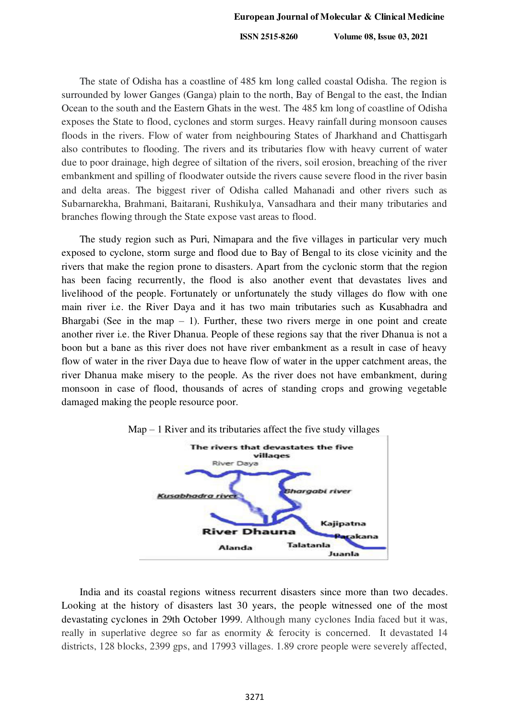The state of Odisha has a coastline of 485 km long called coastal Odisha. The region is surrounded by lower Ganges (Ganga) plain to the north, Bay of Bengal to the east, the Indian Ocean to the south and the Eastern Ghats in the west. The 485 km long of coastline of Odisha exposes the State to flood, cyclones and storm surges. Heavy rainfall during monsoon causes floods in the rivers. Flow of water from neighbouring States of Jharkhand and Chattisgarh also contributes to flooding. The rivers and its tributaries flow with heavy current of water due to poor drainage, high degree of siltation of the rivers, soil erosion, breaching of the river embankment and spilling of floodwater outside the rivers cause severe flood in the river basin and delta areas. The biggest river of Odisha called Mahanadi and other rivers such as Subarnarekha, Brahmani, Baitarani, Rushikulya, Vansadhara and their many tributaries and branches flowing through the State expose vast areas to flood.

The study region such as Puri, Nimapara and the five villages in particular very much exposed to cyclone, storm surge and flood due to Bay of Bengal to its close vicinity and the rivers that make the region prone to disasters. Apart from the cyclonic storm that the region has been facing recurrently, the flood is also another event that devastates lives and livelihood of the people. Fortunately or unfortunately the study villages do flow with one main river i.e. the River Daya and it has two main tributaries such as Kusabhadra and Bhargabi (See in the map  $-1$ ). Further, these two rivers merge in one point and create another river i.e. the River Dhanua. People of these regions say that the river Dhanua is not a boon but a bane as this river does not have river embankment as a result in case of heavy flow of water in the river Daya due to heave flow of water in the upper catchment areas, the river Dhanua make misery to the people. As the river does not have embankment, during monsoon in case of flood, thousands of acres of standing crops and growing vegetable damaged making the people resource poor.





India and its coastal regions witness recurrent disasters since more than two decades. Looking at the history of disasters last 30 years, the people witnessed one of the most devastating cyclones in 29th October 1999. Although many cyclones India faced but it was, really in superlative degree so far as enormity & ferocity is concerned. It devastated 14 districts, 128 blocks, 2399 gps, and 17993 villages. 1.89 crore people were severely affected,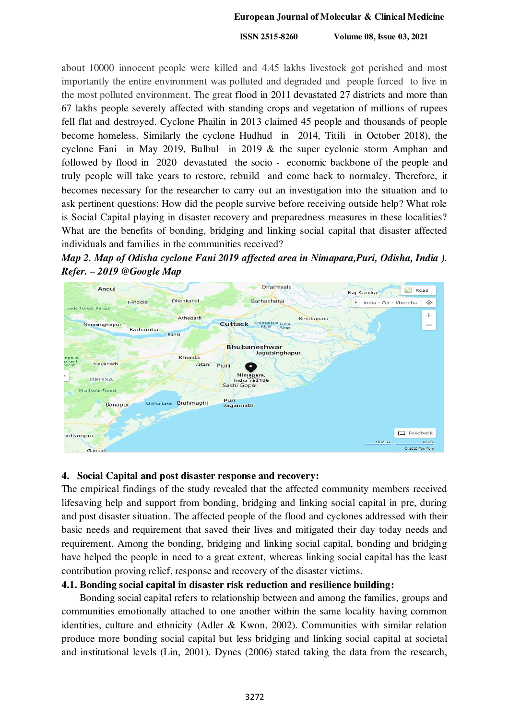#### **European Journal of Molecular & Clinical Medicine**

 **ISSN 2515-8260 Volume 08, Issue 03, 2021**

about 10000 innocent people were killed and 4.45 lakhs livestock got perished and most importantly the entire environment was polluted and degraded and people forced to live in the most polluted environment. The great flood in 2011 devastated 27 districts and more than 67 lakhs people severely affected with standing crops and vegetation of millions of rupees fell flat and destroyed. Cyclone Phailin in 2013 claimed 45 people and thousands of people become homeless. Similarly the cyclone Hudhud in 2014, Titili in October 2018), the cyclone Fani in May 2019, Bulbul in 2019 & the super cyclonic storm Amphan and followed by flood in 2020 devastated the socio - economic backbone of the people and truly people will take years to restore, rebuild and come back to normalcy. Therefore, it becomes necessary for the researcher to carry out an investigation into the situation and to ask pertinent questions: How did the people survive before receiving outside help? What role is Social Capital playing in disaster recovery and preparedness measures in these localities? What are the benefits of bonding, bridging and linking social capital that disaster affected individuals and families in the communities received?





#### **4. Social Capital and post disaster response and recovery:**

The empirical findings of the study revealed that the affected community members received lifesaving help and support from bonding, bridging and linking social capital in pre, during and post disaster situation. The affected people of the flood and cyclones addressed with their basic needs and requirement that saved their lives and mitigated their day today needs and requirement. Among the bonding, bridging and linking social capital, bonding and bridging have helped the people in need to a great extent, whereas linking social capital has the least contribution proving relief, response and recovery of the disaster victims.

## **4.1. Bonding social capital in disaster risk reduction and resilience building:**

Bonding social capital refers to relationship between and among the families, groups and communities emotionally attached to one another within the same locality having common identities, culture and ethnicity (Adler & Kwon, 2002). Communities with similar relation produce more bonding social capital but less bridging and linking social capital at societal and institutional levels (Lin, 2001). Dynes (2006) stated taking the data from the research,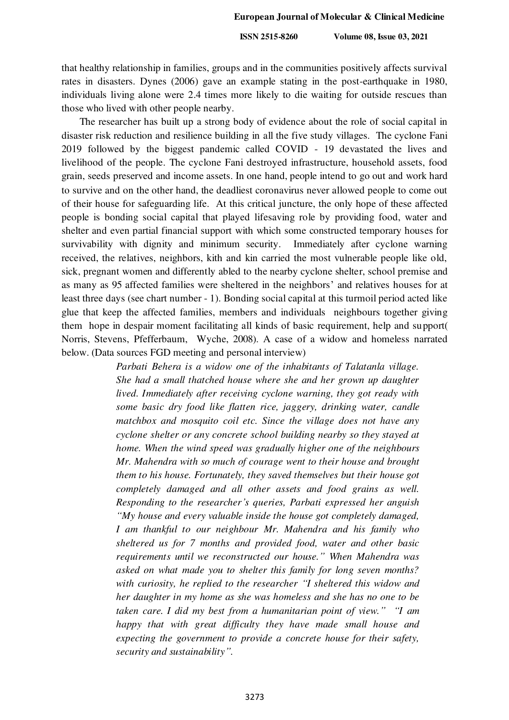that healthy relationship in families, groups and in the communities positively affects survival rates in disasters. Dynes (2006) gave an example stating in the post-earthquake in 1980, individuals living alone were 2.4 times more likely to die waiting for outside rescues than those who lived with other people nearby.

The researcher has built up a strong body of evidence about the role of social capital in disaster risk reduction and resilience building in all the five study villages. The cyclone Fani 2019 followed by the biggest pandemic called COVID - 19 devastated the lives and livelihood of the people. The cyclone Fani destroyed infrastructure, household assets, food grain, seeds preserved and income assets. In one hand, people intend to go out and work hard to survive and on the other hand, the deadliest coronavirus never allowed people to come out of their house for safeguarding life. At this critical juncture, the only hope of these affected people is bonding social capital that played lifesaving role by providing food, water and shelter and even partial financial support with which some constructed temporary houses for survivability with dignity and minimum security. Immediately after cyclone warning received, the relatives, neighbors, kith and kin carried the most vulnerable people like old, sick, pregnant women and differently abled to the nearby cyclone shelter, school premise and as many as 95 affected families were sheltered in the neighbors' and relatives houses for at least three days (see chart number - 1). Bonding social capital at this turmoil period acted like glue that keep the affected families, members and individuals neighbours together giving them hope in despair moment facilitating all kinds of basic requirement, help and support( Norris, Stevens, Pfefferbaum, Wyche, 2008). A case of a widow and homeless narrated below. (Data sources FGD meeting and personal interview)

> *Parbati Behera is a widow one of the inhabitants of Talatanla village. She had a small thatched house where she and her grown up daughter lived. Immediately after receiving cyclone warning, they got ready with some basic dry food like flatten rice, jaggery, drinking water, candle matchbox and mosquito coil etc. Since the village does not have any cyclone shelter or any concrete school building nearby so they stayed at home. When the wind speed was gradually higher one of the neighbours Mr. Mahendra with so much of courage went to their house and brought them to his house. Fortunately, they saved themselves but their house got completely damaged and all other assets and food grains as well. Responding to the researcher's queries, Parbati expressed her anguish "My house and every valuable inside the house got completely damaged, I am thankful to our neighbour Mr. Mahendra and his family who sheltered us for 7 months and provided food, water and other basic requirements until we reconstructed our house." When Mahendra was asked on what made you to shelter this family for long seven months? with curiosity, he replied to the researcher "I sheltered this widow and her daughter in my home as she was homeless and she has no one to be taken care. I did my best from a humanitarian point of view." "I am happy that with great difficulty they have made small house and expecting the government to provide a concrete house for their safety, security and sustainability".*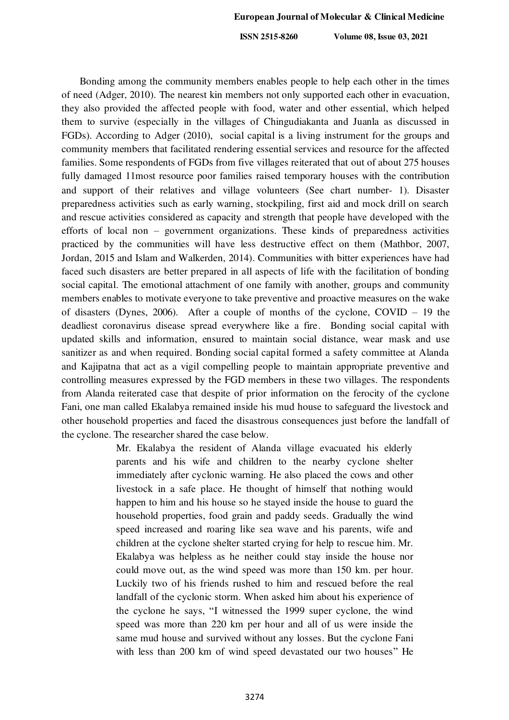Bonding among the community members enables people to help each other in the times of need (Adger, 2010). The nearest kin members not only supported each other in evacuation, they also provided the affected people with food, water and other essential, which helped them to survive (especially in the villages of Chingudiakanta and Juanla as discussed in FGDs). According to Adger (2010), social capital is a living instrument for the groups and community members that facilitated rendering essential services and resource for the affected families. Some respondents of FGDs from five villages reiterated that out of about 275 houses fully damaged 11most resource poor families raised temporary houses with the contribution and support of their relatives and village volunteers (See chart number- 1). Disaster preparedness activities such as early warning, stockpiling, first aid and mock drill on search and rescue activities considered as capacity and strength that people have developed with the efforts of local non – government organizations. These kinds of preparedness activities practiced by the communities will have less destructive effect on them (Mathbor, 2007, Jordan, 2015 and Islam and Walkerden, 2014). Communities with bitter experiences have had faced such disasters are better prepared in all aspects of life with the facilitation of bonding social capital. The emotional attachment of one family with another, groups and community members enables to motivate everyone to take preventive and proactive measures on the wake of disasters (Dynes, 2006). After a couple of months of the cyclone, COVID – 19 the deadliest coronavirus disease spread everywhere like a fire. Bonding social capital with updated skills and information, ensured to maintain social distance, wear mask and use sanitizer as and when required. Bonding social capital formed a safety committee at Alanda and Kajipatna that act as a vigil compelling people to maintain appropriate preventive and controlling measures expressed by the FGD members in these two villages. The respondents from Alanda reiterated case that despite of prior information on the ferocity of the cyclone Fani, one man called Ekalabya remained inside his mud house to safeguard the livestock and other household properties and faced the disastrous consequences just before the landfall of the cyclone. The researcher shared the case below.

> Mr. Ekalabya the resident of Alanda village evacuated his elderly parents and his wife and children to the nearby cyclone shelter immediately after cyclonic warning. He also placed the cows and other livestock in a safe place. He thought of himself that nothing would happen to him and his house so he stayed inside the house to guard the household properties, food grain and paddy seeds. Gradually the wind speed increased and roaring like sea wave and his parents, wife and children at the cyclone shelter started crying for help to rescue him. Mr. Ekalabya was helpless as he neither could stay inside the house nor could move out, as the wind speed was more than 150 km. per hour. Luckily two of his friends rushed to him and rescued before the real landfall of the cyclonic storm. When asked him about his experience of the cyclone he says, "I witnessed the 1999 super cyclone, the wind speed was more than 220 km per hour and all of us were inside the same mud house and survived without any losses. But the cyclone Fani with less than 200 km of wind speed devastated our two houses" He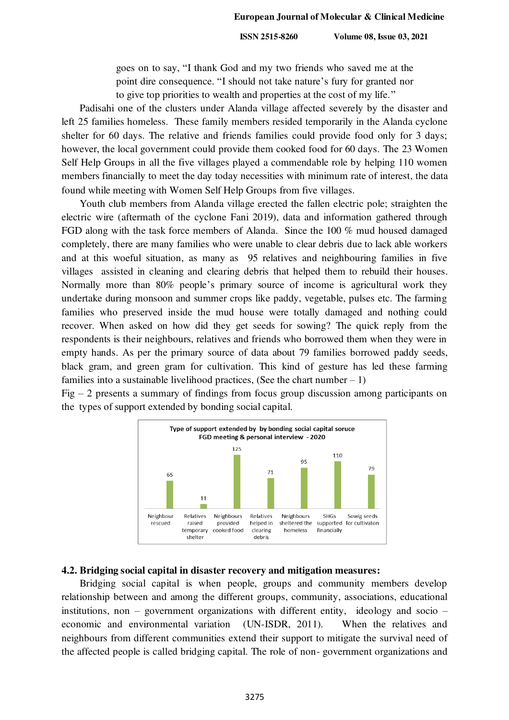goes on to say, "I thank God and my two friends who saved me at the point dire consequence. "I should not take nature's fury for granted nor to give top priorities to wealth and properties at the cost of my life."

Padisahi one of the clusters under Alanda village affected severely by the disaster and left 25 families homeless. These family members resided temporarily in the Alanda cyclone shelter for 60 days. The relative and friends families could provide food only for 3 days; however, the local government could provide them cooked food for 60 days. The 23 Women Self Help Groups in all the five villages played a commendable role by helping 110 women members financially to meet the day today necessities with minimum rate of interest, the data found while meeting with Women Self Help Groups from five villages.

Youth club members from Alanda village erected the fallen electric pole; straighten the electric wire (aftermath of the cyclone Fani 2019), data and information gathered through FGD along with the task force members of Alanda. Since the 100 % mud housed damaged completely, there are many families who were unable to clear debris due to lack able workers and at this woeful situation, as many as 95 relatives and neighbouring families in five villages assisted in cleaning and clearing debris that helped them to rebuild their houses. Normally more than 80% people's primary source of income is agricultural work they undertake during monsoon and summer crops like paddy, vegetable, pulses etc. The farming families who preserved inside the mud house were totally damaged and nothing could recover. When asked on how did they get seeds for sowing? The quick reply from the respondents is their neighbours, relatives and friends who borrowed them when they were in empty hands. As per the primary source of data about 79 families borrowed paddy seeds, black gram, and green gram for cultivation. This kind of gesture has led these farming families into a sustainable livelihood practices, (See the chart number  $-1$ )

Fig – 2 presents a summary of findings from focus group discussion among participants on the types of support extended by bonding social capital.



#### **4.2. Bridging social capital in disaster recovery and mitigation measures:**

Bridging social capital is when people, groups and community members develop relationship between and among the different groups, community, associations, educational institutions, non – government organizations with different entity, ideology and socio – economic and environmental variation (UN-ISDR, 2011). When the relatives and neighbours from different communities extend their support to mitigate the survival need of the affected people is called bridging capital. The role of non- government organizations and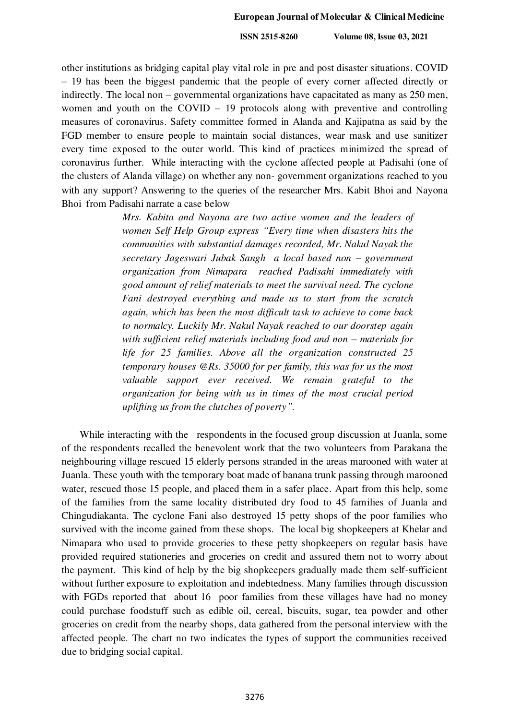other institutions as bridging capital play vital role in pre and post disaster situations. COVID – 19 has been the biggest pandemic that the people of every corner affected directly or indirectly. The local non – governmental organizations have capacitated as many as 250 men, women and youth on the COVID – 19 protocols along with preventive and controlling measures of coronavirus. Safety committee formed in Alanda and Kajipatna as said by the FGD member to ensure people to maintain social distances, wear mask and use sanitizer every time exposed to the outer world. This kind of practices minimized the spread of coronavirus further. While interacting with the cyclone affected people at Padisahi (one of the clusters of Alanda village) on whether any non- government organizations reached to you with any support? Answering to the queries of the researcher Mrs. Kabit Bhoi and Nayona Bhoi from Padisahi narrate a case below

> *Mrs. Kabita and Nayona are two active women and the leaders of women Self Help Group express "Every time when disasters hits the communities with substantial damages recorded, Mr. Nakul Nayak the secretary Jageswari Jubak Sangh a local based non – government organization from Nimapara reached Padisahi immediately with good amount of relief materials to meet the survival need. The cyclone Fani destroyed everything and made us to start from the scratch again, which has been the most difficult task to achieve to come back to normalcy. Luckily Mr. Nakul Nayak reached to our doorstep again with sufficient relief materials including food and non – materials for life for 25 families. Above all the organization constructed 25 temporary houses @Rs. 35000 for per family, this was for us the most*  valuable support ever received. We remain grateful to the *organization for being with us in times of the most crucial period uplifting us from the clutches of poverty".*

While interacting with the respondents in the focused group discussion at Juanla, some of the respondents recalled the benevolent work that the two volunteers from Parakana the neighbouring village rescued 15 elderly persons stranded in the areas marooned with water at Juanla. These youth with the temporary boat made of banana trunk passing through marooned water, rescued those 15 people, and placed them in a safer place. Apart from this help, some of the families from the same locality distributed dry food to 45 families of Juanla and Chingudiakanta. The cyclone Fani also destroyed 15 petty shops of the poor families who survived with the income gained from these shops. The local big shopkeepers at Khelar and Nimapara who used to provide groceries to these petty shopkeepers on regular basis have provided required stationeries and groceries on credit and assured them not to worry about the payment. This kind of help by the big shopkeepers gradually made them self-sufficient without further exposure to exploitation and indebtedness. Many families through discussion with FGDs reported that about 16 poor families from these villages have had no money could purchase foodstuff such as edible oil, cereal, biscuits, sugar, tea powder and other groceries on credit from the nearby shops, data gathered from the personal interview with the affected people. The chart no two indicates the types of support the communities received due to bridging social capital.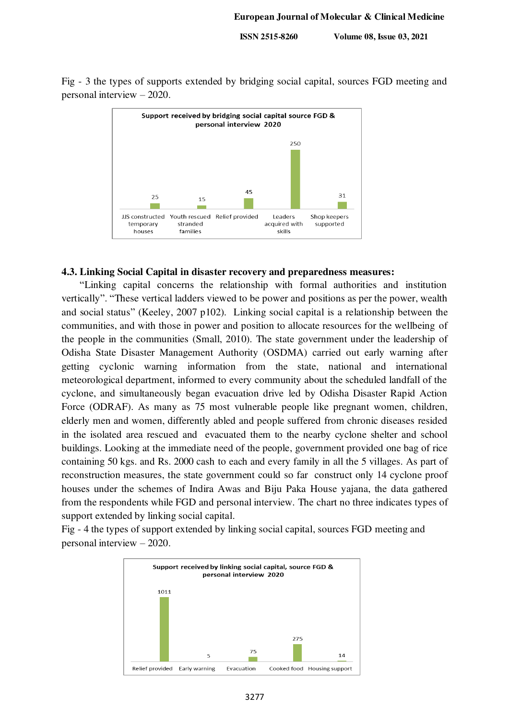Fig - 3 the types of supports extended by bridging social capital, sources FGD meeting and personal interview – 2020.



#### **4.3. Linking Social Capital in disaster recovery and preparedness measures:**

"Linking capital concerns the relationship with formal authorities and institution vertically". "These vertical ladders viewed to be power and positions as per the power, wealth and social status" (Keeley, 2007 p102). Linking social capital is a relationship between the communities, and with those in power and position to allocate resources for the wellbeing of the people in the communities (Small, 2010). The state government under the leadership of Odisha State Disaster Management Authority (OSDMA) carried out early warning after getting cyclonic warning information from the state, national and international meteorological department, informed to every community about the scheduled landfall of the cyclone, and simultaneously began evacuation drive led by Odisha Disaster Rapid Action Force (ODRAF). As many as 75 most vulnerable people like pregnant women, children, elderly men and women, differently abled and people suffered from chronic diseases resided in the isolated area rescued and evacuated them to the nearby cyclone shelter and school buildings. Looking at the immediate need of the people, government provided one bag of rice containing 50 kgs. and Rs. 2000 cash to each and every family in all the 5 villages. As part of reconstruction measures, the state government could so far construct only 14 cyclone proof houses under the schemes of Indira Awas and Biju Paka House yajana, the data gathered from the respondents while FGD and personal interview. The chart no three indicates types of support extended by linking social capital.

Fig - 4 the types of support extended by linking social capital, sources FGD meeting and personal interview – 2020.

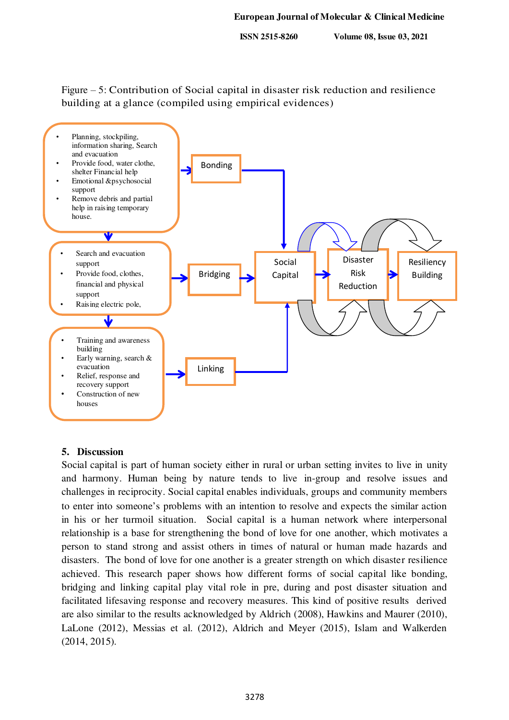Figure – 5: Contribution of Social capital in disaster risk reduction and resilience building at a glance (compiled using empirical evidences)



## **5. Discussion**

Social capital is part of human society either in rural or urban setting invites to live in unity and harmony. Human being by nature tends to live in-group and resolve issues and challenges in reciprocity. Social capital enables individuals, groups and community members to enter into someone's problems with an intention to resolve and expects the similar action in his or her turmoil situation. Social capital is a human network where interpersonal relationship is a base for strengthening the bond of love for one another, which motivates a person to stand strong and assist others in times of natural or human made hazards and disasters. The bond of love for one another is a greater strength on which disaster resilience achieved. This research paper shows how different forms of social capital like bonding, bridging and linking capital play vital role in pre, during and post disaster situation and facilitated lifesaving response and recovery measures. This kind of positive results derived are also similar to the results acknowledged by Aldrich (2008), Hawkins and Maurer (2010), LaLone (2012), Messias et al. (2012), Aldrich and Meyer (2015), Islam and Walkerden (2014, 2015).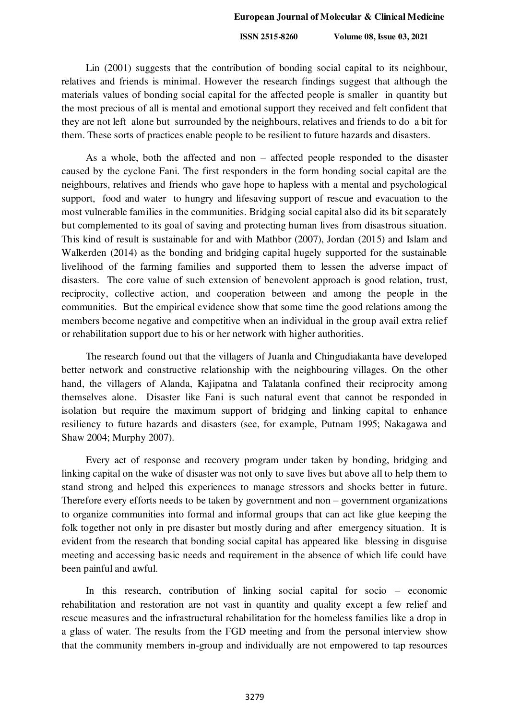Lin (2001) suggests that the contribution of bonding social capital to its neighbour, relatives and friends is minimal. However the research findings suggest that although the materials values of bonding social capital for the affected people is smaller in quantity but the most precious of all is mental and emotional support they received and felt confident that they are not left alone but surrounded by the neighbours, relatives and friends to do a bit for them. These sorts of practices enable people to be resilient to future hazards and disasters.

As a whole, both the affected and non – affected people responded to the disaster caused by the cyclone Fani. The first responders in the form bonding social capital are the neighbours, relatives and friends who gave hope to hapless with a mental and psychological support, food and water to hungry and lifesaving support of rescue and evacuation to the most vulnerable families in the communities. Bridging social capital also did its bit separately but complemented to its goal of saving and protecting human lives from disastrous situation. This kind of result is sustainable for and with Mathbor (2007), Jordan (2015) and Islam and Walkerden (2014) as the bonding and bridging capital hugely supported for the sustainable livelihood of the farming families and supported them to lessen the adverse impact of disasters. The core value of such extension of benevolent approach is good relation, trust, reciprocity, collective action, and cooperation between and among the people in the communities. But the empirical evidence show that some time the good relations among the members become negative and competitive when an individual in the group avail extra relief or rehabilitation support due to his or her network with higher authorities.

The research found out that the villagers of Juanla and Chingudiakanta have developed better network and constructive relationship with the neighbouring villages. On the other hand, the villagers of Alanda, Kajipatna and Talatanla confined their reciprocity among themselves alone. Disaster like Fani is such natural event that cannot be responded in isolation but require the maximum support of bridging and linking capital to enhance resiliency to future hazards and disasters (see, for example, Putnam 1995; Nakagawa and Shaw 2004; Murphy 2007).

Every act of response and recovery program under taken by bonding, bridging and linking capital on the wake of disaster was not only to save lives but above all to help them to stand strong and helped this experiences to manage stressors and shocks better in future. Therefore every efforts needs to be taken by government and non – government organizations to organize communities into formal and informal groups that can act like glue keeping the folk together not only in pre disaster but mostly during and after emergency situation. It is evident from the research that bonding social capital has appeared like blessing in disguise meeting and accessing basic needs and requirement in the absence of which life could have been painful and awful.

In this research, contribution of linking social capital for socio – economic rehabilitation and restoration are not vast in quantity and quality except a few relief and rescue measures and the infrastructural rehabilitation for the homeless families like a drop in a glass of water. The results from the FGD meeting and from the personal interview show that the community members in-group and individually are not empowered to tap resources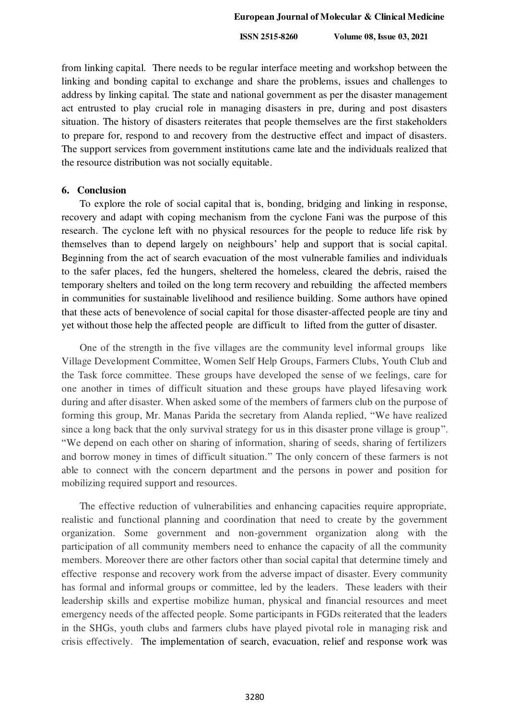from linking capital. There needs to be regular interface meeting and workshop between the linking and bonding capital to exchange and share the problems, issues and challenges to address by linking capital. The state and national government as per the disaster management act entrusted to play crucial role in managing disasters in pre, during and post disasters situation. The history of disasters reiterates that people themselves are the first stakeholders to prepare for, respond to and recovery from the destructive effect and impact of disasters. The support services from government institutions came late and the individuals realized that the resource distribution was not socially equitable.

#### **6. Conclusion**

To explore the role of social capital that is, bonding, bridging and linking in response, recovery and adapt with coping mechanism from the cyclone Fani was the purpose of this research. The cyclone left with no physical resources for the people to reduce life risk by themselves than to depend largely on neighbours' help and support that is social capital. Beginning from the act of search evacuation of the most vulnerable families and individuals to the safer places, fed the hungers, sheltered the homeless, cleared the debris, raised the temporary shelters and toiled on the long term recovery and rebuilding the affected members in communities for sustainable livelihood and resilience building. Some authors have opined that these acts of benevolence of social capital for those disaster-affected people are tiny and yet without those help the affected people are difficult to lifted from the gutter of disaster.

One of the strength in the five villages are the community level informal groups like Village Development Committee, Women Self Help Groups, Farmers Clubs, Youth Club and the Task force committee. These groups have developed the sense of we feelings, care for one another in times of difficult situation and these groups have played lifesaving work during and after disaster. When asked some of the members of farmers club on the purpose of forming this group, Mr. Manas Parida the secretary from Alanda replied, "We have realized since a long back that the only survival strategy for us in this disaster prone village is group". "We depend on each other on sharing of information, sharing of seeds, sharing of fertilizers and borrow money in times of difficult situation." The only concern of these farmers is not able to connect with the concern department and the persons in power and position for mobilizing required support and resources.

The effective reduction of vulnerabilities and enhancing capacities require appropriate, realistic and functional planning and coordination that need to create by the government organization. Some government and non-government organization along with the participation of all community members need to enhance the capacity of all the community members. Moreover there are other factors other than social capital that determine timely and effective response and recovery work from the adverse impact of disaster. Every community has formal and informal groups or committee, led by the leaders. These leaders with their leadership skills and expertise mobilize human, physical and financial resources and meet emergency needs of the affected people. Some participants in FGDs reiterated that the leaders in the SHGs, youth clubs and farmers clubs have played pivotal role in managing risk and crisis effectively. The implementation of search, evacuation, relief and response work was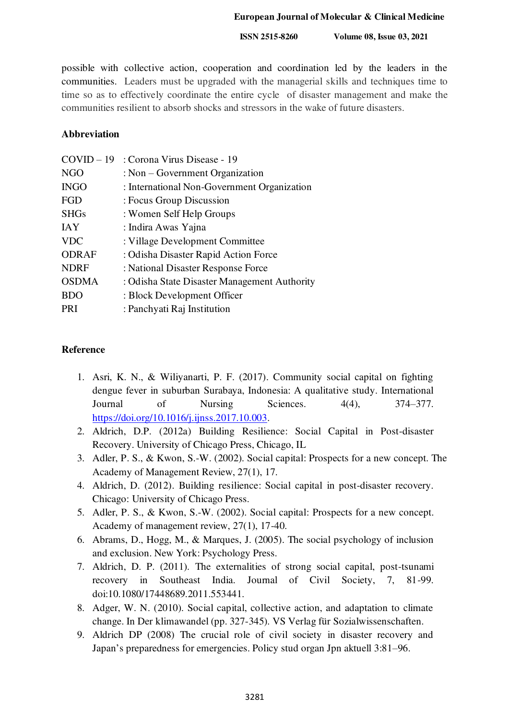#### **European Journal of Molecular & Clinical Medicine**

 **ISSN 2515-8260 Volume 08, Issue 03, 2021**

possible with collective action, cooperation and coordination led by the leaders in the communities. Leaders must be upgraded with the managerial skills and techniques time to time so as to effectively coordinate the entire cycle of disaster management and make the communities resilient to absorb shocks and stressors in the wake of future disasters.

#### **Abbreviation**

| $COVID-19$   | : Corona Virus Disease - 19                  |
|--------------|----------------------------------------------|
| <b>NGO</b>   | : Non $-$ Government Organization            |
| <b>INGO</b>  | : International Non-Government Organization  |
| FGD          | : Focus Group Discussion                     |
| <b>SHGs</b>  | : Women Self Help Groups                     |
| <b>IAY</b>   | : Indira Awas Yajna                          |
| <b>VDC</b>   | : Village Development Committee              |
| <b>ODRAF</b> | : Odisha Disaster Rapid Action Force         |
| <b>NDRF</b>  | : National Disaster Response Force           |
| <b>OSDMA</b> | : Odisha State Disaster Management Authority |
| <b>BDO</b>   | : Block Development Officer                  |
| PRI          | : Panchyati Raj Institution                  |
|              |                                              |

#### **Reference**

- 1. Asri, K. N., & Wiliyanarti, P. F. (2017). Community social capital on fighting dengue fever in suburban Surabaya, Indonesia: A qualitative study. International Journal of Nursing Sciences. 4(4), 374–377. [https://doi.org/10.1016/j.ijnss.2017.10.003.](https://doi.org/10.1016/j.ijnss.2017.10.003)
- 2. Aldrich, D.P. (2012a) Building Resilience: Social Capital in Post-disaster Recovery. University of Chicago Press, Chicago, IL
- 3. Adler, P. S., & Kwon, S.-W. (2002). Social capital: Prospects for a new concept. The Academy of Management Review, 27(1), 17.
- 4. Aldrich, D. (2012). Building resilience: Social capital in post-disaster recovery. Chicago: University of Chicago Press.
- 5. Adler, P. S., & Kwon, S.-W. (2002). Social capital: Prospects for a new concept. Academy of management review, 27(1), 17-40.
- 6. Abrams, D., Hogg, M., & Marques, J. (2005). The social psychology of inclusion and exclusion. New York: Psychology Press.
- 7. Aldrich, D. P. (2011). The externalities of strong social capital, post-tsunami recovery in Southeast India. Journal of Civil Society, 7, 81-99. doi:10.1080/17448689.2011.553441.
- 8. Adger, W. N. (2010). Social capital, collective action, and adaptation to climate change. In Der klimawandel (pp. 327-345). VS Verlag für Sozialwissenschaften.
- 9. Aldrich DP (2008) The crucial role of civil society in disaster recovery and Japan's preparedness for emergencies. Policy stud organ Jpn aktuell 3:81–96.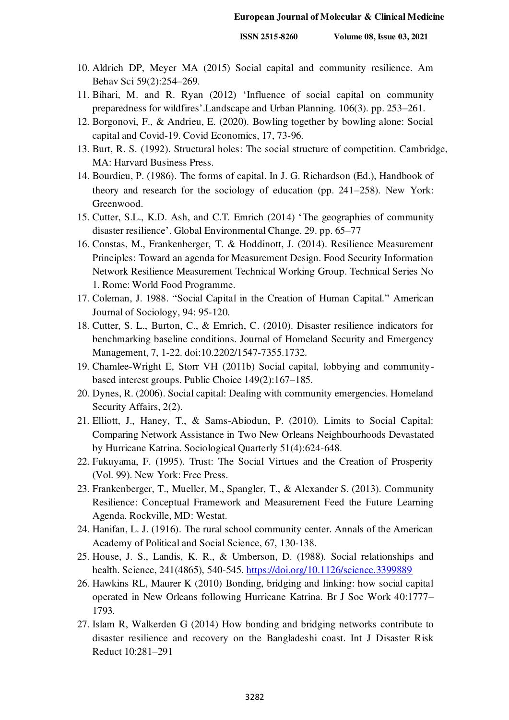- 10. Aldrich DP, Meyer MA (2015) Social capital and community resilience. Am Behav Sci 59(2):254–269.
- 11. Bihari, M. and R. Ryan (2012) 'Influence of social capital on community preparedness for wildfires'.Landscape and Urban Planning. 106(3). pp. 253–261.
- 12. Borgonovi, F., & Andrieu, E. (2020). Bowling together by bowling alone: Social capital and Covid-19. Covid Economics, 17, 73-96.
- 13. Burt, R. S. (1992). Structural holes: The social structure of competition. Cambridge, MA: Harvard Business Press.
- 14. Bourdieu, P. (1986). The forms of capital. In J. G. Richardson (Ed.), Handbook of theory and research for the sociology of education (pp. 241–258). New York: Greenwood.
- 15. Cutter, S.L., K.D. Ash, and C.T. Emrich (2014) 'The geographies of community disaster resilience'. Global Environmental Change. 29. pp. 65–77
- 16. Constas, M., Frankenberger, T. & Hoddinott, J. (2014). Resilience Measurement Principles: Toward an agenda for Measurement Design. Food Security Information Network Resilience Measurement Technical Working Group. Technical Series No 1. Rome: World Food Programme.
- 17. Coleman, J. 1988. "Social Capital in the Creation of Human Capital." American Journal of Sociology, 94: 95-120.
- 18. Cutter, S. L., Burton, C., & Emrich, C. (2010). Disaster resilience indicators for benchmarking baseline conditions. Journal of Homeland Security and Emergency Management, 7, 1-22. doi:10.2202/1547-7355.1732.
- 19. Chamlee-Wright E, Storr VH (2011b) Social capital, lobbying and communitybased interest groups. Public Choice 149(2):167–185.
- 20. Dynes, R. (2006). Social capital: Dealing with community emergencies. Homeland Security Affairs, 2(2).
- 21. Elliott, J., Haney, T., & Sams-Abiodun, P. (2010). Limits to Social Capital: Comparing Network Assistance in Two New Orleans Neighbourhoods Devastated by Hurricane Katrina. Sociological Quarterly 51(4):624-648.
- 22. Fukuyama, F. (1995). Trust: The Social Virtues and the Creation of Prosperity (Vol. 99). New York: Free Press.
- 23. Frankenberger, T., Mueller, M., Spangler, T., & Alexander S. (2013). Community Resilience: Conceptual Framework and Measurement Feed the Future Learning Agenda. Rockville, MD: Westat.
- 24. Hanifan, L. J. (1916). The rural school community center. Annals of the American Academy of Political and Social Science, 67, 130-138.
- 25. House, J. S., Landis, K. R., & Umberson, D. (1988). Social relationships and health. Science, 241(4865), 540-545.<https://doi.org/10.1126/science.3399889>
- 26. Hawkins RL, Maurer K (2010) Bonding, bridging and linking: how social capital operated in New Orleans following Hurricane Katrina. Br J Soc Work 40:1777– 1793.
- 27. Islam R, Walkerden G (2014) How bonding and bridging networks contribute to disaster resilience and recovery on the Bangladeshi coast. Int J Disaster Risk Reduct 10:281–291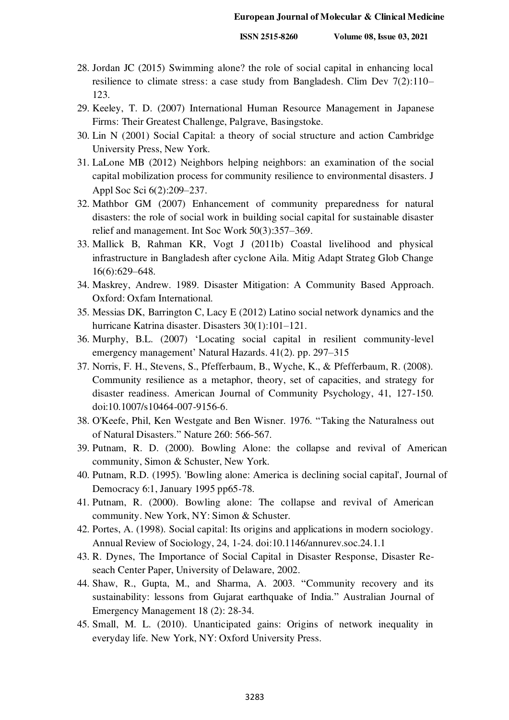- 28. Jordan JC (2015) Swimming alone? the role of social capital in enhancing local resilience to climate stress: a case study from Bangladesh. Clim Dev 7(2):110– 123.
- 29. Keeley, T. D. (2007) International Human Resource Management in Japanese Firms: Their Greatest Challenge, Palgrave, Basingstoke.
- 30. Lin N (2001) Social Capital: a theory of social structure and action Cambridge University Press, New York.
- 31. LaLone MB (2012) Neighbors helping neighbors: an examination of the social capital mobilization process for community resilience to environmental disasters. J Appl Soc Sci 6(2):209–237.
- 32. Mathbor GM (2007) Enhancement of community preparedness for natural disasters: the role of social work in building social capital for sustainable disaster relief and management. Int Soc Work 50(3):357–369.
- 33. Mallick B, Rahman KR, Vogt J (2011b) Coastal livelihood and physical infrastructure in Bangladesh after cyclone Aila. Mitig Adapt Strateg Glob Change 16(6):629–648.
- 34. Maskrey, Andrew. 1989. Disaster Mitigation: A Community Based Approach. Oxford: Oxfam International.
- 35. Messias DK, Barrington C, Lacy E (2012) Latino social network dynamics and the hurricane Katrina disaster. Disasters 30(1):101–121.
- 36. Murphy, B.L. (2007) 'Locating social capital in resilient community-level emergency management' Natural Hazards. 41(2). pp. 297–315
- 37. Norris, F. H., Stevens, S., Pfefferbaum, B., Wyche, K., & Pfefferbaum, R. (2008). Community resilience as a metaphor, theory, set of capacities, and strategy for disaster readiness. American Journal of Community Psychology, 41, 127-150. doi:10.1007/s10464-007-9156-6.
- 38. O'Keefe, Phil, Ken Westgate and Ben Wisner. 1976. "Taking the Naturalness out of Natural Disasters." Nature 260: 566-567.
- 39. Putnam, R. D. (2000). Bowling Alone: the collapse and revival of American community, Simon & Schuster, New York.
- 40. Putnam, R.D. (1995). 'Bowling alone: America is declining social capital', Journal of Democracy 6:1, January 1995 pp65-78.
- 41. Putnam, R. (2000). Bowling alone: The collapse and revival of American community. New York, NY: Simon & Schuster.
- 42. Portes, A. (1998). Social capital: Its origins and applications in modern sociology. Annual Review of Sociology, 24, 1-24. doi:10.1146/annurev.soc.24.1.1
- 43. R. Dynes, The Importance of Social Capital in Disaster Response, Disaster Reseach Center Paper, University of Delaware, 2002.
- 44. Shaw, R., Gupta, M., and Sharma, A. 2003. "Community recovery and its sustainability: lessons from Gujarat earthquake of India." Australian Journal of Emergency Management 18 (2): 28-34.
- 45. Small, M. L. (2010). Unanticipated gains: Origins of network inequality in everyday life. New York, NY: Oxford University Press.